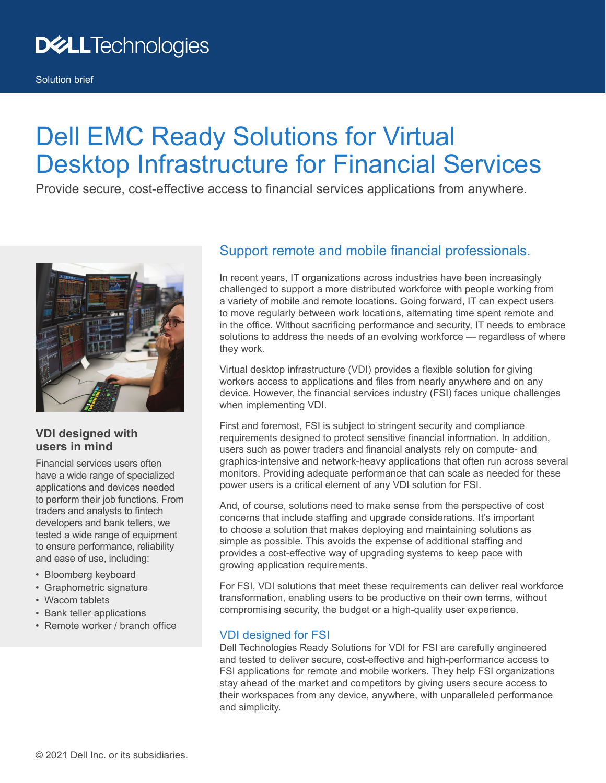# Dell EMC Ready Solutions for Virtual Desktop Infrastructure for Financial Services

Provide secure, cost-effective access to financial services applications from anywhere.



### **VDI designed with users in mind**

Financial services users often have a wide range of specialized applications and devices needed to perform their job functions. From traders and analysts to fintech developers and bank tellers, we tested a wide range of equipment to ensure performance, reliability and ease of use, including:

- Bloomberg keyboard
- Graphometric signature
- Wacom tablets
- Bank teller applications
- Remote worker / branch office

### Support remote and mobile financial professionals.

In recent years, IT organizations across industries have been increasingly challenged to support a more distributed workforce with people working from a variety of mobile and remote locations. Going forward, IT can expect users to move regularly between work locations, alternating time spent remote and in the office. Without sacrificing performance and security, IT needs to embrace solutions to address the needs of an evolving workforce — regardless of where they work.

Virtual desktop infrastructure (VDI) provides a flexible solution for giving workers access to applications and files from nearly anywhere and on any device. However, the financial services industry (FSI) faces unique challenges when implementing VDI.

First and foremost, FSI is subject to stringent security and compliance requirements designed to protect sensitive financial information. In addition, users such as power traders and financial analysts rely on compute- and graphics-intensive and network-heavy applications that often run across several monitors. Providing adequate performance that can scale as needed for these power users is a critical element of any VDI solution for FSI.

And, of course, solutions need to make sense from the perspective of cost concerns that include staffing and upgrade considerations. It's important to choose a solution that makes deploying and maintaining solutions as simple as possible. This avoids the expense of additional staffing and provides a cost‑effective way of upgrading systems to keep pace with growing application requirements.

For FSI, VDI solutions that meet these requirements can deliver real workforce transformation, enabling users to be productive on their own terms, without compromising security, the budget or a high-quality user experience.

### VDI designed for FSI

Dell Technologies Ready Solutions for VDI for FSI are carefully engineered and tested to deliver secure, cost-effective and high-performance access to FSI applications for remote and mobile workers. They help FSI organizations stay ahead of the market and competitors by giving users secure access to their workspaces from any device, anywhere, with unparalleled performance and simplicity.